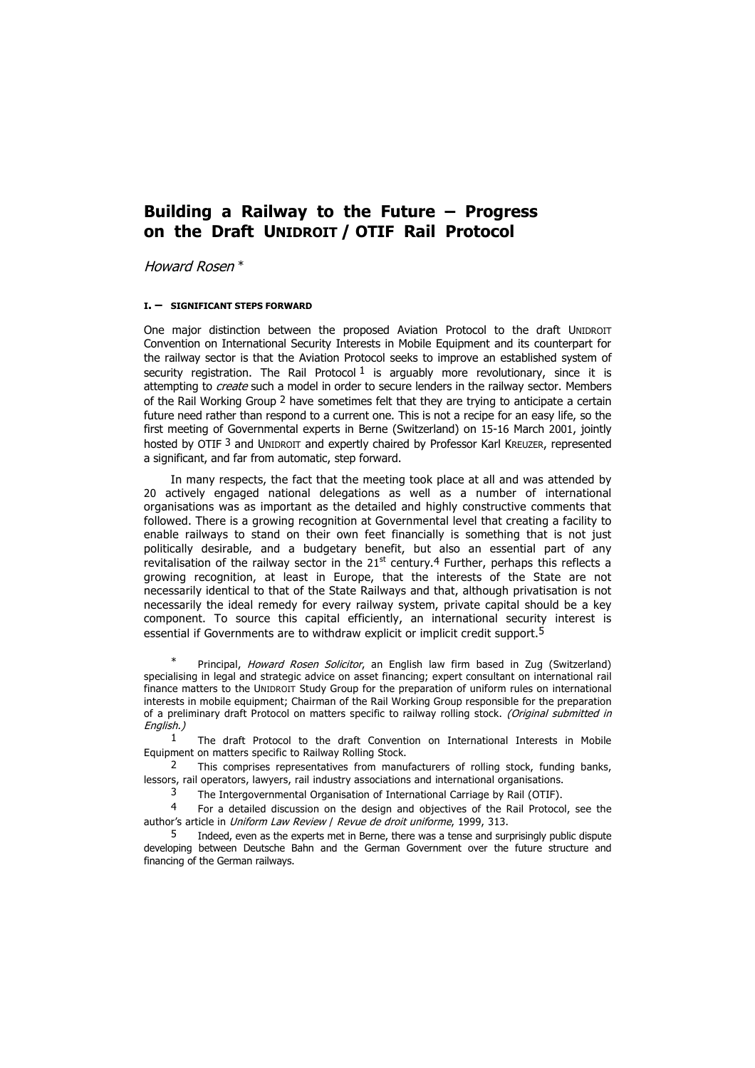## **Building a Railway to the Future – Progress on the Draft UNIDROIT / OTIF Rail Protocol**

Howard Rosen \*

## **I. – SIGNIFICANT STEPS FORWARD**

One major distinction between the proposed Aviation Protocol to the draft UNIDROIT Convention on International Security Interests in Mobile Equipment and its counterpart for the railway sector is that the Aviation Protocol seeks to improve an established system of security registration. The Rail Protocol  $1$  is arguably more revolutionary, since it is attempting to *create* such a model in order to secure lenders in the railway sector. Members of the Rail Working Group 2 have sometimes felt that they are trying to anticipate a certain future need rather than respond to a current one. This is not a recipe for an easy life, so the first meeting of Governmental experts in Berne (Switzerland) on 15-16 March 2001, jointly hosted by OTIF <sup>3</sup> and UNIDROIT and expertly chaired by Professor Karl KREUZER, represented a significant, and far from automatic, step forward.

In many respects, the fact that the meeting took place at all and was attended by 20 actively engaged national delegations as well as a number of international organisations was as important as the detailed and highly constructive comments that followed. There is a growing recognition at Governmental level that creating a facility to enable railways to stand on their own feet financially is something that is not just politically desirable, and a budgetary benefit, but also an essential part of any revitalisation of the railway sector in the  $21<sup>st</sup>$  century.<sup>4</sup> Further, perhaps this reflects a growing recognition, at least in Europe, that the interests of the State are not necessarily identical to that of the State Railways and that, although privatisation is not necessarily the ideal remedy for every railway system, private capital should be a key component. To source this capital efficiently, an international security interest is essential if Governments are to withdraw explicit or implicit credit support.5

Principal, *Howard Rosen Solicitor*, an English law firm based in Zug (Switzerland) specialising in legal and strategic advice on asset financing; expert consultant on international rail finance matters to the UNIDROIT Study Group for the preparation of uniform rules on international interests in mobile equipment; Chairman of the Rail Working Group responsible for the preparation of a preliminary draft Protocol on matters specific to railway rolling stock. (Original submitted in English.)

1 The draft Protocol to the draft Convention on International Interests in Mobile Equipment on matters specific to Railway Rolling Stock.

2 This comprises representatives from manufacturers of rolling stock, funding banks, lessors, rail operators, lawyers, rail industry associations and international organisations.

 $3$  The Intergovernmental Organisation of International Carriage by Rail (OTIF).<br> $4$  Equip additional discussion on the design and objectives of the Rail Protoco

4 For a detailed discussion on the design and objectives of the Rail Protocol, see the author's article in Uniform Law Review | Revue de droit uniforme, 1999, 313.

 $5$  Indeed, even as the experts met in Berne, there was a tense and surprisingly public dispute developing between Deutsche Bahn and the German Government over the future structure and financing of the German railways.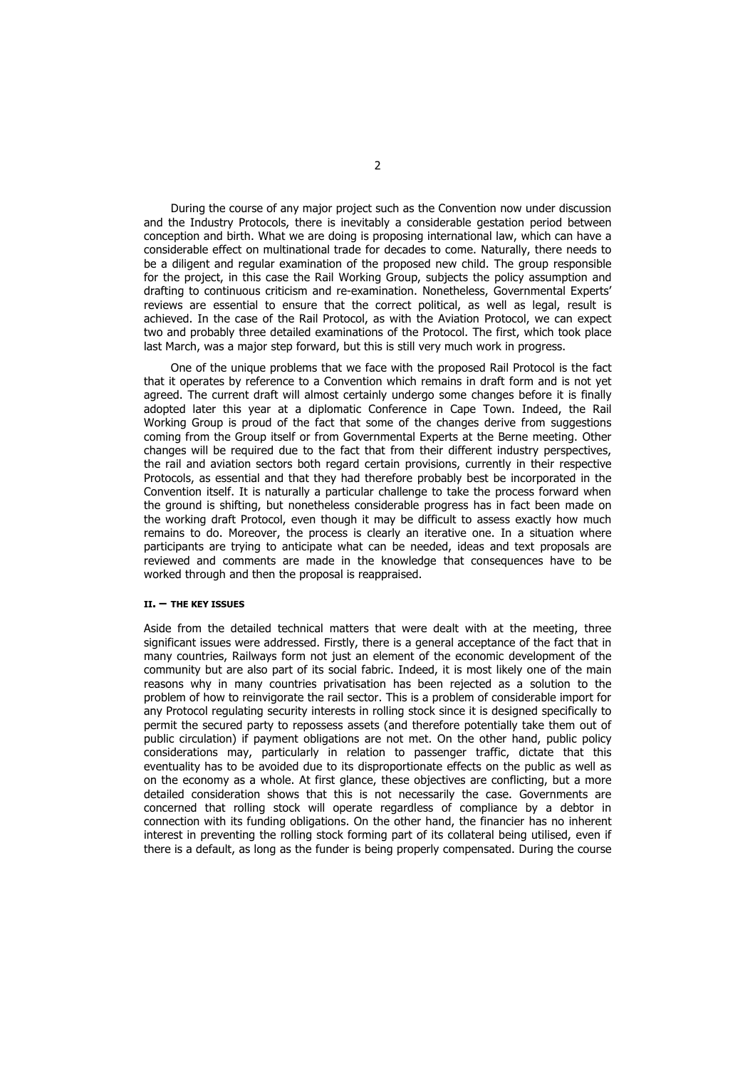During the course of any major project such as the Convention now under discussion and the Industry Protocols, there is inevitably a considerable gestation period between conception and birth. What we are doing is proposing international law, which can have a considerable effect on multinational trade for decades to come. Naturally, there needs to be a diligent and regular examination of the proposed new child. The group responsible for the project, in this case the Rail Working Group, subjects the policy assumption and drafting to continuous criticism and re-examination. Nonetheless, Governmental Experts' reviews are essential to ensure that the correct political, as well as legal, result is achieved. In the case of the Rail Protocol, as with the Aviation Protocol, we can expect two and probably three detailed examinations of the Protocol. The first, which took place last March, was a major step forward, but this is still very much work in progress.

One of the unique problems that we face with the proposed Rail Protocol is the fact that it operates by reference to a Convention which remains in draft form and is not yet agreed. The current draft will almost certainly undergo some changes before it is finally adopted later this year at a diplomatic Conference in Cape Town. Indeed, the Rail Working Group is proud of the fact that some of the changes derive from suggestions coming from the Group itself or from Governmental Experts at the Berne meeting. Other changes will be required due to the fact that from their different industry perspectives, the rail and aviation sectors both regard certain provisions, currently in their respective Protocols, as essential and that they had therefore probably best be incorporated in the Convention itself. It is naturally a particular challenge to take the process forward when the ground is shifting, but nonetheless considerable progress has in fact been made on the working draft Protocol, even though it may be difficult to assess exactly how much remains to do. Moreover, the process is clearly an iterative one. In a situation where participants are trying to anticipate what can be needed, ideas and text proposals are reviewed and comments are made in the knowledge that consequences have to be worked through and then the proposal is reappraised.

## **II. – THE KEY ISSUES**

Aside from the detailed technical matters that were dealt with at the meeting, three significant issues were addressed. Firstly, there is a general acceptance of the fact that in many countries, Railways form not just an element of the economic development of the community but are also part of its social fabric. Indeed, it is most likely one of the main reasons why in many countries privatisation has been rejected as a solution to the problem of how to reinvigorate the rail sector. This is a problem of considerable import for any Protocol regulating security interests in rolling stock since it is designed specifically to permit the secured party to repossess assets (and therefore potentially take them out of public circulation) if payment obligations are not met. On the other hand, public policy considerations may, particularly in relation to passenger traffic, dictate that this eventuality has to be avoided due to its disproportionate effects on the public as well as on the economy as a whole. At first glance, these objectives are conflicting, but a more detailed consideration shows that this is not necessarily the case. Governments are concerned that rolling stock will operate regardless of compliance by a debtor in connection with its funding obligations. On the other hand, the financier has no inherent interest in preventing the rolling stock forming part of its collateral being utilised, even if there is a default, as long as the funder is being properly compensated. During the course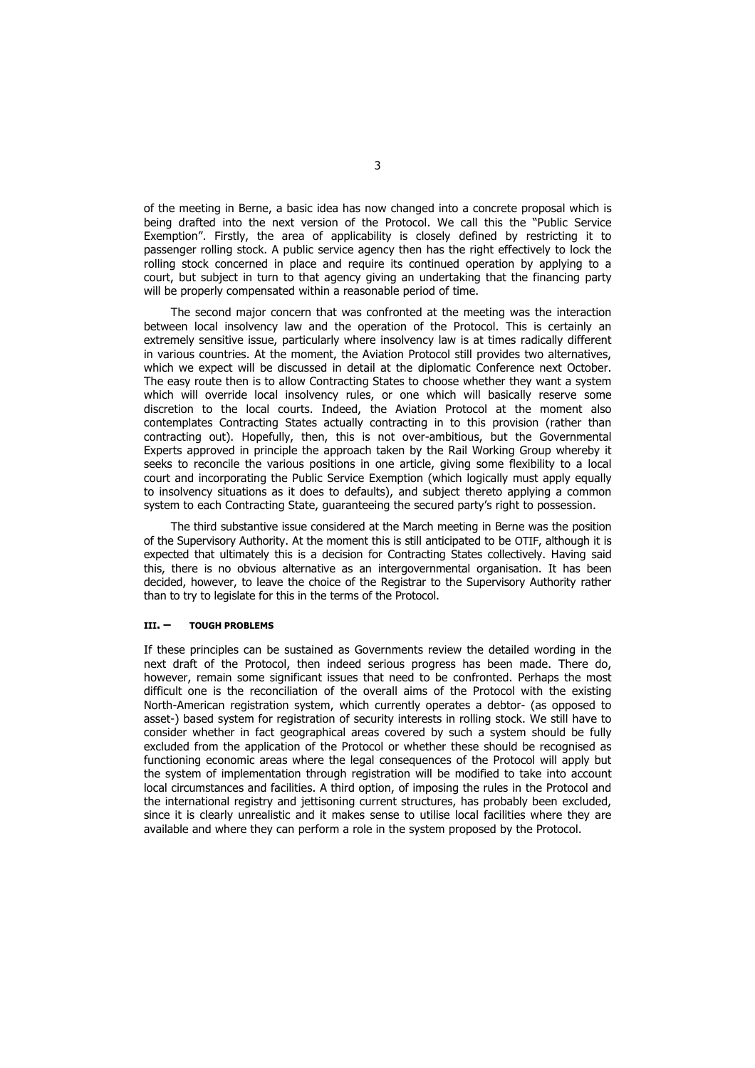of the meeting in Berne, a basic idea has now changed into a concrete proposal which is being drafted into the next version of the Protocol. We call this the "Public Service Exemption". Firstly, the area of applicability is closely defined by restricting it to passenger rolling stock. A public service agency then has the right effectively to lock the rolling stock concerned in place and require its continued operation by applying to a court, but subject in turn to that agency giving an undertaking that the financing party will be properly compensated within a reasonable period of time.

The second major concern that was confronted at the meeting was the interaction between local insolvency law and the operation of the Protocol. This is certainly an extremely sensitive issue, particularly where insolvency law is at times radically different in various countries. At the moment, the Aviation Protocol still provides two alternatives, which we expect will be discussed in detail at the diplomatic Conference next October. The easy route then is to allow Contracting States to choose whether they want a system which will override local insolvency rules, or one which will basically reserve some discretion to the local courts. Indeed, the Aviation Protocol at the moment also contemplates Contracting States actually contracting in to this provision (rather than contracting out). Hopefully, then, this is not over-ambitious, but the Governmental Experts approved in principle the approach taken by the Rail Working Group whereby it seeks to reconcile the various positions in one article, giving some flexibility to a local court and incorporating the Public Service Exemption (which logically must apply equally to insolvency situations as it does to defaults), and subject thereto applying a common system to each Contracting State, guaranteeing the secured party's right to possession.

The third substantive issue considered at the March meeting in Berne was the position of the Supervisory Authority. At the moment this is still anticipated to be OTIF, although it is expected that ultimately this is a decision for Contracting States collectively. Having said this, there is no obvious alternative as an intergovernmental organisation. It has been decided, however, to leave the choice of the Registrar to the Supervisory Authority rather than to try to legislate for this in the terms of the Protocol.

## **III. – TOUGH PROBLEMS**

If these principles can be sustained as Governments review the detailed wording in the next draft of the Protocol, then indeed serious progress has been made. There do, however, remain some significant issues that need to be confronted. Perhaps the most difficult one is the reconciliation of the overall aims of the Protocol with the existing North-American registration system, which currently operates a debtor- (as opposed to asset-) based system for registration of security interests in rolling stock. We still have to consider whether in fact geographical areas covered by such a system should be fully excluded from the application of the Protocol or whether these should be recognised as functioning economic areas where the legal consequences of the Protocol will apply but the system of implementation through registration will be modified to take into account local circumstances and facilities. A third option, of imposing the rules in the Protocol and the international registry and jettisoning current structures, has probably been excluded, since it is clearly unrealistic and it makes sense to utilise local facilities where they are available and where they can perform a role in the system proposed by the Protocol.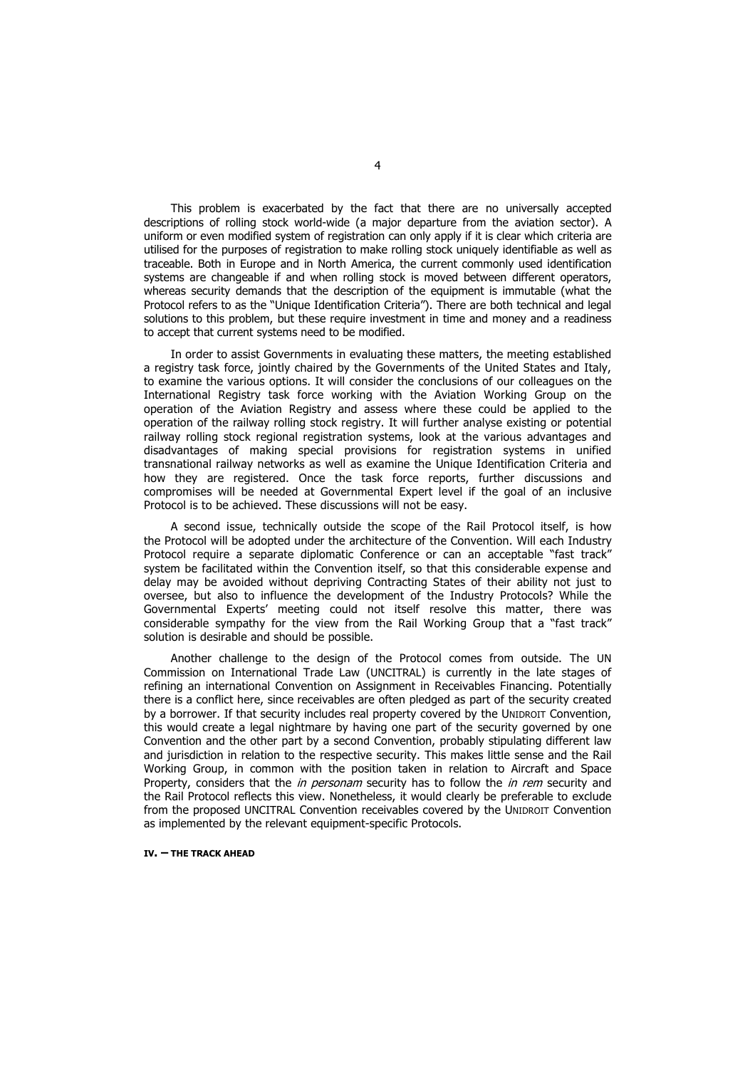This problem is exacerbated by the fact that there are no universally accepted descriptions of rolling stock world-wide (a major departure from the aviation sector). A uniform or even modified system of registration can only apply if it is clear which criteria are utilised for the purposes of registration to make rolling stock uniquely identifiable as well as traceable. Both in Europe and in North America, the current commonly used identification systems are changeable if and when rolling stock is moved between different operators, whereas security demands that the description of the equipment is immutable (what the Protocol refers to as the "Unique Identification Criteria"). There are both technical and legal solutions to this problem, but these require investment in time and money and a readiness to accept that current systems need to be modified.

In order to assist Governments in evaluating these matters, the meeting established a registry task force, jointly chaired by the Governments of the United States and Italy, to examine the various options. It will consider the conclusions of our colleagues on the International Registry task force working with the Aviation Working Group on the operation of the Aviation Registry and assess where these could be applied to the operation of the railway rolling stock registry. It will further analyse existing or potential railway rolling stock regional registration systems, look at the various advantages and disadvantages of making special provisions for registration systems in unified transnational railway networks as well as examine the Unique Identification Criteria and how they are registered. Once the task force reports, further discussions and compromises will be needed at Governmental Expert level if the goal of an inclusive Protocol is to be achieved. These discussions will not be easy.

A second issue, technically outside the scope of the Rail Protocol itself, is how the Protocol will be adopted under the architecture of the Convention. Will each Industry Protocol require a separate diplomatic Conference or can an acceptable "fast track" system be facilitated within the Convention itself, so that this considerable expense and delay may be avoided without depriving Contracting States of their ability not just to oversee, but also to influence the development of the Industry Protocols? While the Governmental Experts' meeting could not itself resolve this matter, there was considerable sympathy for the view from the Rail Working Group that a "fast track" solution is desirable and should be possible.

Another challenge to the design of the Protocol comes from outside. The UN Commission on International Trade Law (UNCITRAL) is currently in the late stages of refining an international Convention on Assignment in Receivables Financing. Potentially there is a conflict here, since receivables are often pledged as part of the security created by a borrower. If that security includes real property covered by the UNIDROIT Convention, this would create a legal nightmare by having one part of the security governed by one Convention and the other part by a second Convention, probably stipulating different law and jurisdiction in relation to the respective security. This makes little sense and the Rail Working Group, in common with the position taken in relation to Aircraft and Space Property, considers that the *in personam* security has to follow the *in rem* security and the Rail Protocol reflects this view. Nonetheless, it would clearly be preferable to exclude from the proposed UNCITRAL Convention receivables covered by the UNIDROIT Convention as implemented by the relevant equipment-specific Protocols.

**IV. – THE TRACK AHEAD**